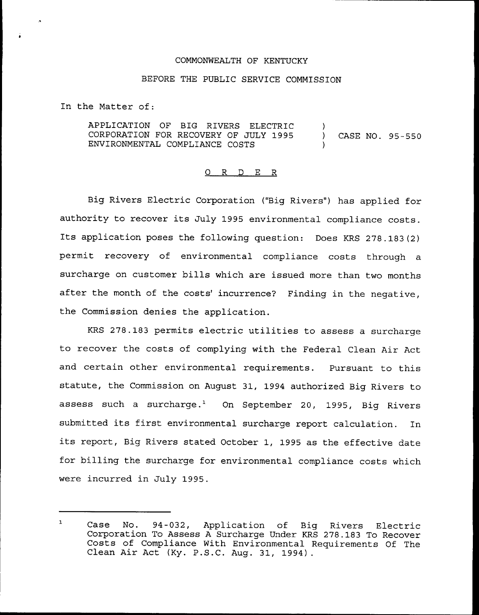## COMMONWEALTH OF KENTUCKY

## BEFORE THE PUBLIC SERVICE COMMISSION

In the Matter of:

APPLICATION OF BIG RIVERS ELECTRIC CORPORATION FOR RECOVERY OF JULY 1995 ENVIRONMENTAL COMPLIANCE COSTS ) ) CASE NO. 95-550 )

## 0 R <sup>D</sup> E R

Big Rivers Electric Corporation ("Big Rivers") has applied for authority to recover its July 1995 environmental compliance costs. Its application poses the following question: Does KRS 278.183(2) permit recovery of environmental compliance costs through a surcharge on customer bills which are issued more than two months after the month of the costs' incurrence? Finding in the negative, the Commission denies the application.

KRS 278.183 permits electric utilities to assess a surcharge to recover the costs of complying with the Federal Clean Air Act and certain other environmental requirements. Pursuant to this statute, the Commission on August 31, 1994 authorized Big Rivers to assess such a surcharge.<sup>1</sup> On September 20, 1995, Big Rivers submitted its first environmental surcharge report calculation. In its report, Big Rivers stated October 1, 1995 as the effective date for billing the surcharge for environmental compliance costs which were incurred in July 1995.

 $\mathbf{1}$ Case No. 94-032, Application of Big Rivers Electric Corporation To Assess <sup>A</sup> Surcharge Under KRS 278.183 To Recover Costs of Compliance With Environmental Requirements Of The Clean Air Act (Ky. P.S.C. Aug. 31, 1994).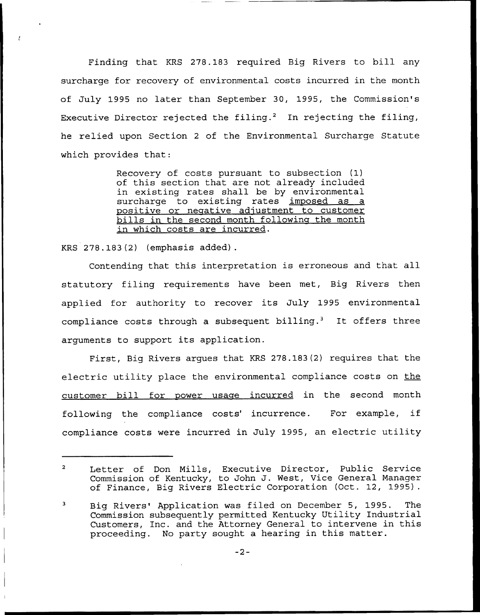Finding that KRS 278.183 required Big Rivers to bill any surcharge for recovery of environmental costs incurred in the month of July 1995 no later than September 30, 1995, the Commission's Executive Director rejected the filing.<sup>2</sup> In rejecting the filing, he relied upon Section <sup>2</sup> of the Environmental Surcharge Statute which provides that:

> Recovery of costs pursuant to subsection (1) of this section that are not already included in existing rates shall be by environment surcharge to existing rates imposed as a positive or negative adjustment to customer bills in the second month following the month in which costs are incurred.

KRS 278.183(2) (emphasis added).

Contending that this interpretation is erroneous and that all statutory filing requirements have been met, Big Rivers then applied for authority to recover its July 1995 environmental compliance costs through a subsequent billing.<sup>3</sup> It offers three arguments to support its application.

First, Big Rivers argues that KRS 278.183(2) requires that the electric utility place the environmental compliance costs on the customer bill for power usage incurred in the second month following the compliance costs' incurrence. For example, if compliance costs were incurred in July 1995, an electric utility

 $\overline{2}$ Letter of Don Mills, Executive Director, Public Service Commission of Kentucky, to John J. West, Vice General Manager of Finance, Big Rivers Electric Corporation (Oct. 12, 1995).

<sup>3</sup> Big Rivers'pplication was filed on December 5, 1995. The Commission subsequently permitted Kentucky Utility Industrial Customers, Inc. and the Attorney General to intervene in this proceeding. No party sought a hearing in this matter.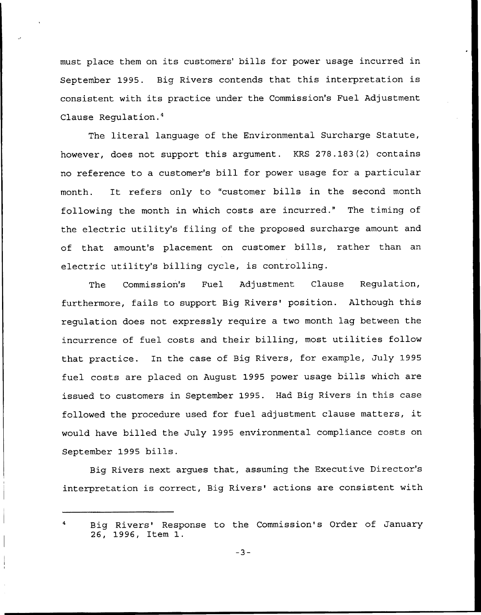must place them on its customers' bills for power usage incurred in September 1995. Big Rivers contends that this interpretation is consistent with its practice under the Commission's Fuel Adjustment Clause Regulation. $<sup>4</sup>$ </sup>

The literal language of the Environmental Surcharge Statute, however, does not support this argument. KRS 278.183(2) contains no reference to a customer's bill for power usage for a particular month. It refers only to "customer bills in the second month following the month in which costs are incurred." The timing of the electric utility's filing of the proposed surcharge amount and of that amount's placement on customer bills, rather than an electric utility's billing cycle, is controlling.

The Commission's Fuel Adjustment Clause Regulation, furthermore, fails to support Big Rivers' position. Although this regulation does not expressly require a two month lag between the incurrence of fuel costs and their billing, most utilities follow that practice. In the case of Big Rivers, for example, July 1995 fuel costs are placed on August 1995 power usage bills which are issued to customers in September 1995. Had Big Rivers in this case followed the procedure used for fuel adjustment clause matters, it would have billed the July 1995 environmental compliance costs on September 1995 bills.

Big Rivers next argues that, assuming the Executive Director's interpretation is correct, Big Rivers' actions are consistent with

Big Rivers' Response to the Commission's Order of January 26, 1996, Item 1.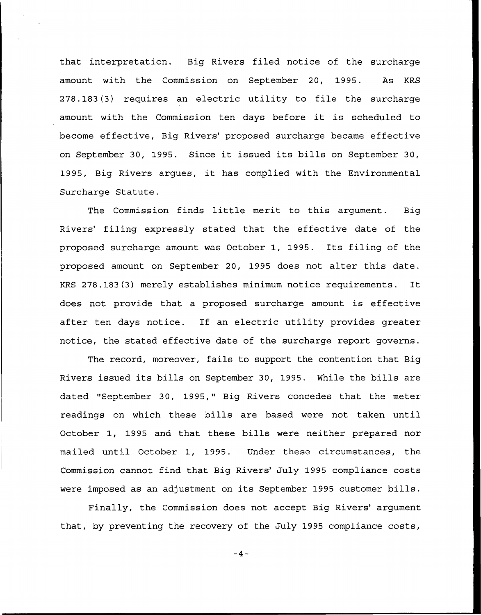that interpretation. Big Rivers filed notice of the surcharge amount with the Commission on September 20, 1995. As KRS 278.183(3) requires an electric utility to file the surcharge amount with the Commission ten days before it is scheduled to become effective, Big Rivers' proposed surcharge became effective on September 30, 1995. Since it issued its bills on September 30, 1995, Big Rivers argues, it has complied with the Environmental Surcharge Statute.

The Commission finds little merit to this argument. Big Rivers' filing expressly stated that the effective date of the proposed surcharge amount was October 1, 1995. Its filing of the proposed amount on September 20, 1995 does not alter this date. KRS 278.183(3) merely establishes minimum notice requirements. It does not provide that a proposed surcharge amount is effective after ten days notice. If an electric utility provides greater notice, the stated effective date of the surcharge report governs.

The record, moreover, fails to support the contention that Big Rivers issued its bills on September 30, 1995. While the bills are dated "September 30, 1995," Big Rivers concedes that the meter readings on which these bills are based were not taken until October 1, 1995 and that these bills were neither prepared nor mailed until October 1, 1995. Under these circumstances, the Commission cannot find that Big Rivers' July 1995 compliance costs were imposed as an adjustment on its September 1995 customer bills.

Finally, the Commission does not accept Big Rivers' argument that, by preventing the recovery of the July 1995 compliance costs,

 $-4-$